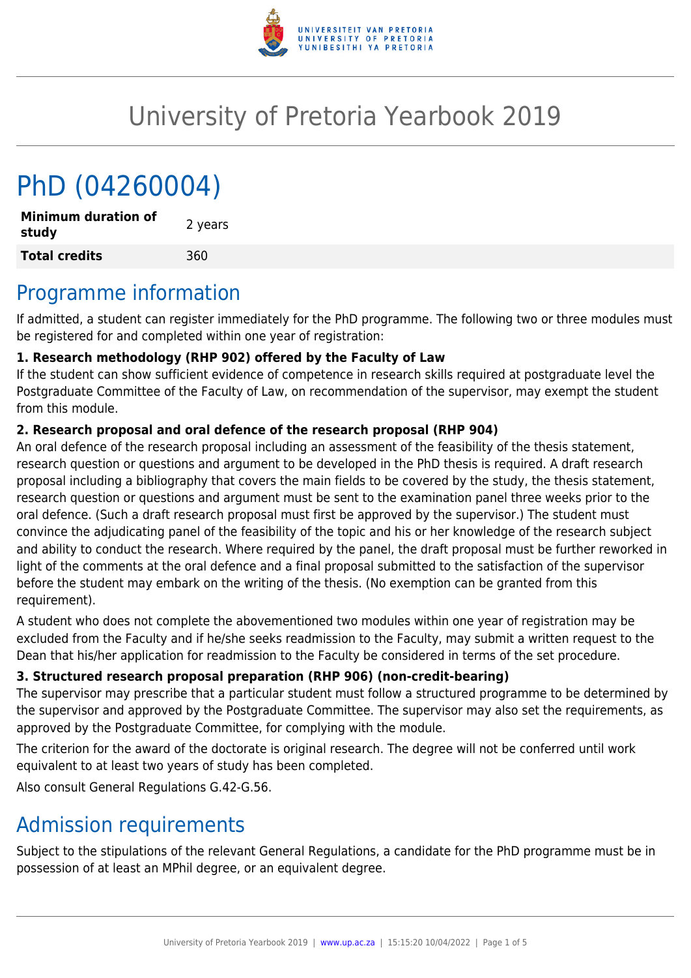

## University of Pretoria Yearbook 2019

# PhD (04260004)

**Minimum duration of study and the study 2** years **Total credits** 360

### Programme information

If admitted, a student can register immediately for the PhD programme. The following two or three modules must be registered for and completed within one year of registration:

#### **1. Research methodology (RHP 902) offered by the Faculty of Law**

If the student can show sufficient evidence of competence in research skills required at postgraduate level the Postgraduate Committee of the Faculty of Law, on recommendation of the supervisor, may exempt the student from this module.

#### **2. Research proposal and oral defence of the research proposal (RHP 904)**

An oral defence of the research proposal including an assessment of the feasibility of the thesis statement, research question or questions and argument to be developed in the PhD thesis is required. A draft research proposal including a bibliography that covers the main fields to be covered by the study, the thesis statement, research question or questions and argument must be sent to the examination panel three weeks prior to the oral defence. (Such a draft research proposal must first be approved by the supervisor.) The student must convince the adjudicating panel of the feasibility of the topic and his or her knowledge of the research subject and ability to conduct the research. Where required by the panel, the draft proposal must be further reworked in light of the comments at the oral defence and a final proposal submitted to the satisfaction of the supervisor before the student may embark on the writing of the thesis. (No exemption can be granted from this requirement).

A student who does not complete the abovementioned two modules within one year of registration may be excluded from the Faculty and if he/she seeks readmission to the Faculty, may submit a written request to the Dean that his/her application for readmission to the Faculty be considered in terms of the set procedure.

#### **3. Structured research proposal preparation (RHP 906) (non-credit-bearing)**

The supervisor may prescribe that a particular student must follow a structured programme to be determined by the supervisor and approved by the Postgraduate Committee. The supervisor may also set the requirements, as approved by the Postgraduate Committee, for complying with the module.

The criterion for the award of the doctorate is original research. The degree will not be conferred until work equivalent to at least two years of study has been completed.

Also consult General Regulations G.42-G.56.

### Admission requirements

Subject to the stipulations of the relevant General Regulations, a candidate for the PhD programme must be in possession of at least an MPhil degree, or an equivalent degree.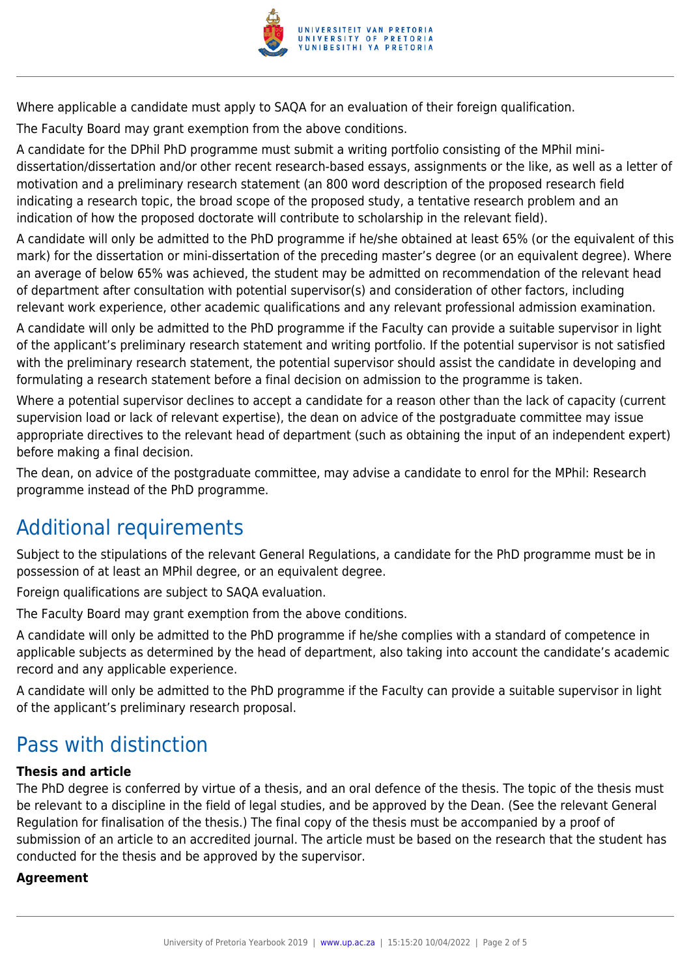

Where applicable a candidate must apply to SAQA for an evaluation of their foreign qualification.

The Faculty Board may grant exemption from the above conditions.

A candidate for the DPhil PhD programme must submit a writing portfolio consisting of the MPhil minidissertation/dissertation and/or other recent research-based essays, assignments or the like, as well as a letter of motivation and a preliminary research statement (an 800 word description of the proposed research field indicating a research topic, the broad scope of the proposed study, a tentative research problem and an indication of how the proposed doctorate will contribute to scholarship in the relevant field).

A candidate will only be admitted to the PhD programme if he/she obtained at least 65% (or the equivalent of this mark) for the dissertation or mini-dissertation of the preceding master's degree (or an equivalent degree). Where an average of below 65% was achieved, the student may be admitted on recommendation of the relevant head of department after consultation with potential supervisor(s) and consideration of other factors, including relevant work experience, other academic qualifications and any relevant professional admission examination.

A candidate will only be admitted to the PhD programme if the Faculty can provide a suitable supervisor in light of the applicant's preliminary research statement and writing portfolio. If the potential supervisor is not satisfied with the preliminary research statement, the potential supervisor should assist the candidate in developing and formulating a research statement before a final decision on admission to the programme is taken.

Where a potential supervisor declines to accept a candidate for a reason other than the lack of capacity (current supervision load or lack of relevant expertise), the dean on advice of the postgraduate committee may issue appropriate directives to the relevant head of department (such as obtaining the input of an independent expert) before making a final decision.

The dean, on advice of the postgraduate committee, may advise a candidate to enrol for the MPhil: Research programme instead of the PhD programme.

### Additional requirements

Subject to the stipulations of the relevant General Regulations, a candidate for the PhD programme must be in possession of at least an MPhil degree, or an equivalent degree.

Foreign qualifications are subject to SAQA evaluation.

The Faculty Board may grant exemption from the above conditions.

A candidate will only be admitted to the PhD programme if he/she complies with a standard of competence in applicable subjects as determined by the head of department, also taking into account the candidate's academic record and any applicable experience.

A candidate will only be admitted to the PhD programme if the Faculty can provide a suitable supervisor in light of the applicant's preliminary research proposal.

### Pass with distinction

#### **Thesis and article**

The PhD degree is conferred by virtue of a thesis, and an oral defence of the thesis. The topic of the thesis must be relevant to a discipline in the field of legal studies, and be approved by the Dean. (See the relevant General Regulation for finalisation of the thesis.) The final copy of the thesis must be accompanied by a proof of submission of an article to an accredited journal. The article must be based on the research that the student has conducted for the thesis and be approved by the supervisor.

#### **Agreement**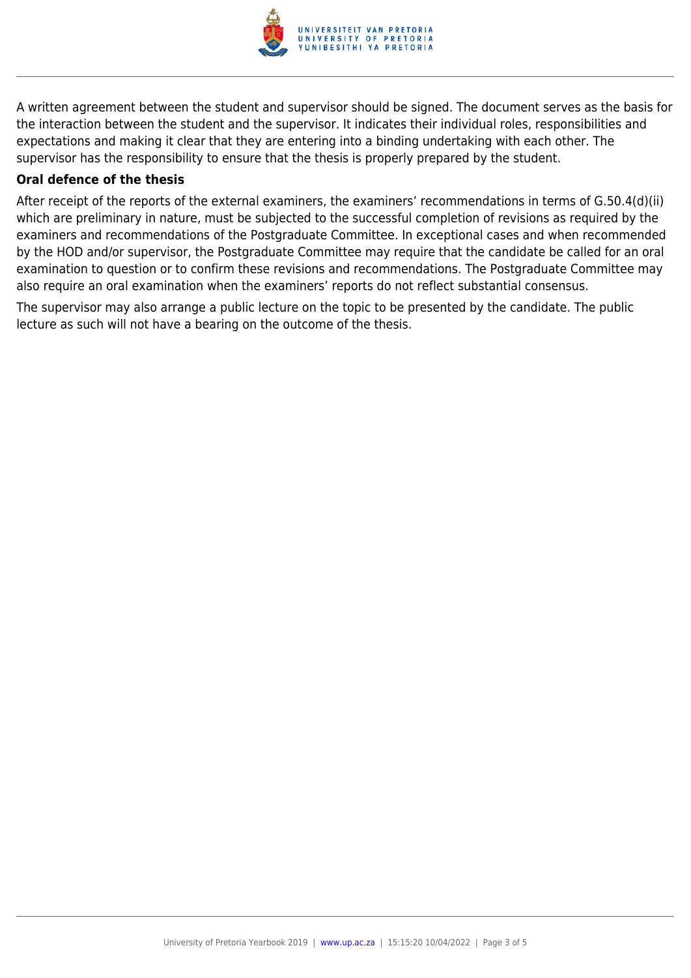

A written agreement between the student and supervisor should be signed. The document serves as the basis for the interaction between the student and the supervisor. It indicates their individual roles, responsibilities and expectations and making it clear that they are entering into a binding undertaking with each other. The supervisor has the responsibility to ensure that the thesis is properly prepared by the student.

#### **Oral defence of the thesis**

After receipt of the reports of the external examiners, the examiners' recommendations in terms of G.50.4(d)(ii) which are preliminary in nature, must be subjected to the successful completion of revisions as required by the examiners and recommendations of the Postgraduate Committee. In exceptional cases and when recommended by the HOD and/or supervisor, the Postgraduate Committee may require that the candidate be called for an oral examination to question or to confirm these revisions and recommendations. The Postgraduate Committee may also require an oral examination when the examiners' reports do not reflect substantial consensus.

The supervisor may also arrange a public lecture on the topic to be presented by the candidate. The public lecture as such will not have a bearing on the outcome of the thesis.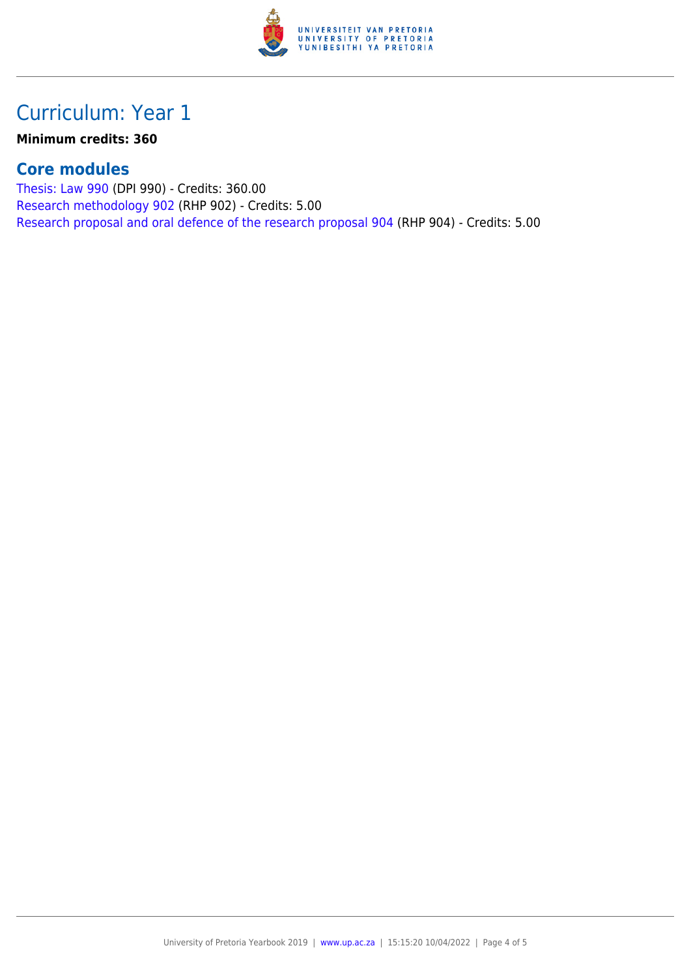

### Curriculum: Year 1

**Minimum credits: 360**

### **Core modules**

[Thesis: Law 990](https://www.up.ac.za/faculty-of-education/yearbooks/2019/modules/view/DPI 990) (DPI 990) - Credits: 360.00 [Research methodology 902](https://www.up.ac.za/faculty-of-education/yearbooks/2019/modules/view/RHP 902) (RHP 902) - Credits: 5.00 [Research proposal and oral defence of the research proposal 904](https://www.up.ac.za/faculty-of-education/yearbooks/2019/modules/view/RHP 904) (RHP 904) - Credits: 5.00